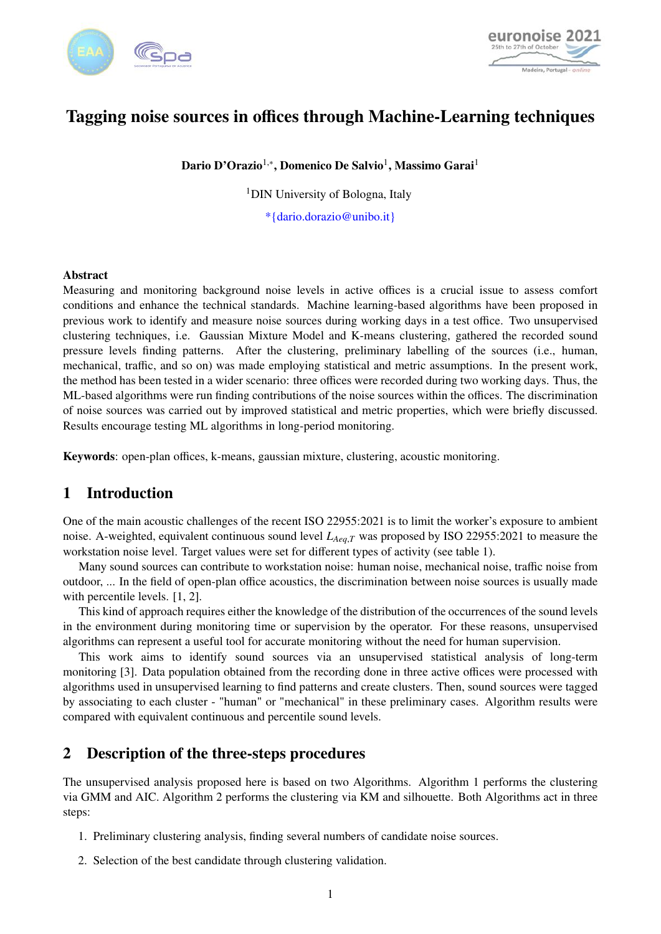



# Tagging noise sources in offices through Machine-Learning techniques

Dario D'Orazio<sup>1,</sup>\*, Domenico De Salvio<sup>1</sup>, Massimo Garai<sup>1</sup>

<sup>1</sup>DIN University of Bologna, Italy

\*{dario.dorazio@unibo.it}

### Abstract

Measuring and monitoring background noise levels in active offices is a crucial issue to assess comfort conditions and enhance the technical standards. Machine learning-based algorithms have been proposed in previous work to identify and measure noise sources during working days in a test office. Two unsupervised clustering techniques, i.e. Gaussian Mixture Model and K-means clustering, gathered the recorded sound pressure levels finding patterns. After the clustering, preliminary labelling of the sources (i.e., human, mechanical, traffic, and so on) was made employing statistical and metric assumptions. In the present work, the method has been tested in a wider scenario: three offices were recorded during two working days. Thus, the ML-based algorithms were run finding contributions of the noise sources within the offices. The discrimination of noise sources was carried out by improved statistical and metric properties, which were briefly discussed. Results encourage testing ML algorithms in long-period monitoring.

Keywords: open-plan offices, k-means, gaussian mixture, clustering, acoustic monitoring.

### 1 Introduction

One of the main acoustic challenges of the recent ISO 22955:2021 is to limit the worker's exposure to ambient noise. A-weighted, equivalent continuous sound level *<sup>L</sup>Aeq*,*<sup>T</sup>* was proposed by ISO 22955:2021 to measure the workstation noise level. Target values were set for different types of activity (see table [1\)](#page-1-0).

Many sound sources can contribute to workstation noise: human noise, mechanical noise, traffic noise from outdoor, ... In the field of open-plan office acoustics, the discrimination between noise sources is usually made with percentile levels. [\[1,](#page-9-0) [2\]](#page-9-1).

This kind of approach requires either the knowledge of the distribution of the occurrences of the sound levels in the environment during monitoring time or supervision by the operator. For these reasons, unsupervised algorithms can represent a useful tool for accurate monitoring without the need for human supervision.

This work aims to identify sound sources via an unsupervised statistical analysis of long-term monitoring [\[3\]](#page-9-2). Data population obtained from the recording done in three active offices were processed with algorithms used in unsupervised learning to find patterns and create clusters. Then, sound sources were tagged by associating to each cluster - "human" or "mechanical" in these preliminary cases. Algorithm results were compared with equivalent continuous and percentile sound levels.

## 2 Description of the three-steps procedures

The unsupervised analysis proposed here is based on two Algorithms. Algorithm 1 performs the clustering via GMM and AIC. Algorithm 2 performs the clustering via KM and silhouette. Both Algorithms act in three steps:

- 1. Preliminary clustering analysis, finding several numbers of candidate noise sources.
- 2. Selection of the best candidate through clustering validation.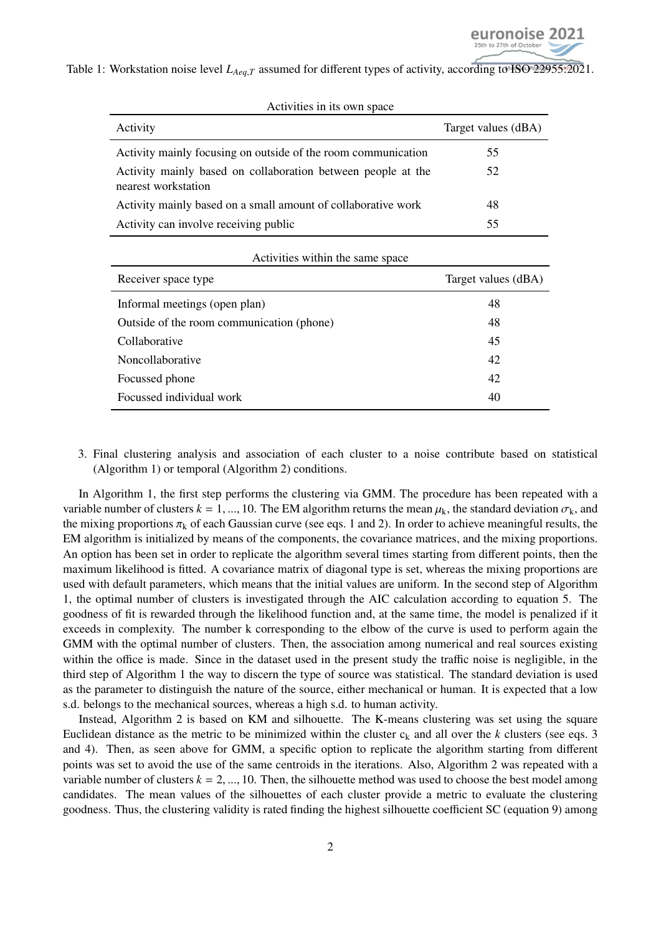<span id="page-1-0"></span>Table 1: Workstation noise level *L*<sub>Aeq,*T*</sub> assumed for different types of activity, according to **ISO** 22955:2021.

| ACTIVILIES III Its OWN Space                                                        |                     |
|-------------------------------------------------------------------------------------|---------------------|
| Activity                                                                            | Target values (dBA) |
| Activity mainly focusing on outside of the room communication                       | 55                  |
| Activity mainly based on collaboration between people at the<br>nearest workstation | 52                  |
| Activity mainly based on a small amount of collaborative work                       | 48                  |
| Activity can involve receiving public                                               | 55                  |
| Activities within the same space                                                    |                     |
| Receiver space type                                                                 | Target values (dBA) |

Informal meetings (open plan) 48 Outside of the room communication (phone) 48 Collaborative 45 Noncollaborative 42 Focussed phone 42 Focussed individual work 40

Activities in its own space

3. Final clustering analysis and association of each cluster to a noise contribute based on statistical (Algorithm 1) or temporal (Algorithm 2) conditions.

In Algorithm 1, the first step performs the clustering via GMM. The procedure has been repeated with a variable number of clusters  $k = 1, ..., 10$ . The EM algorithm returns the mean  $\mu_k$ , the standard deviation  $\sigma_k$ , and the mixing proportions  $\pi_k$  of each Gaussian curve (see eqs. [1](#page-2-0) and [2\)](#page-3-0). In order to achieve meaningful results, the EM algorithm is initialized by means of the components, the covariance matrices, and the mixing proportions. An option has been set in order to replicate the algorithm several times starting from different points, then the maximum likelihood is fitted. A covariance matrix of diagonal type is set, whereas the mixing proportions are used with default parameters, which means that the initial values are uniform. In the second step of Algorithm 1, the optimal number of clusters is investigated through the AIC calculation according to equation [5.](#page-4-0) The goodness of fit is rewarded through the likelihood function and, at the same time, the model is penalized if it exceeds in complexity. The number k corresponding to the elbow of the curve is used to perform again the GMM with the optimal number of clusters. Then, the association among numerical and real sources existing within the office is made. Since in the dataset used in the present study the traffic noise is negligible, in the third step of Algorithm 1 the way to discern the type of source was statistical. The standard deviation is used as the parameter to distinguish the nature of the source, either mechanical or human. It is expected that a low s.d. belongs to the mechanical sources, whereas a high s.d. to human activity.

Instead, Algorithm 2 is based on KM and silhouette. The K-means clustering was set using the square Euclidean distance as the metric to be minimized within the cluster  $c_k$  and all over the  $k$  clusters (see eqs. [3](#page-3-1)) and [4\)](#page-4-1). Then, as seen above for GMM, a specific option to replicate the algorithm starting from different points was set to avoid the use of the same centroids in the iterations. Also, Algorithm 2 was repeated with a variable number of clusters  $k = 2, ..., 10$ . Then, the silhouette method was used to choose the best model among candidates. The mean values of the silhouettes of each cluster provide a metric to evaluate the clustering goodness. Thus, the clustering validity is rated finding the highest silhouette coefficient SC (equation [9\)](#page-5-0) among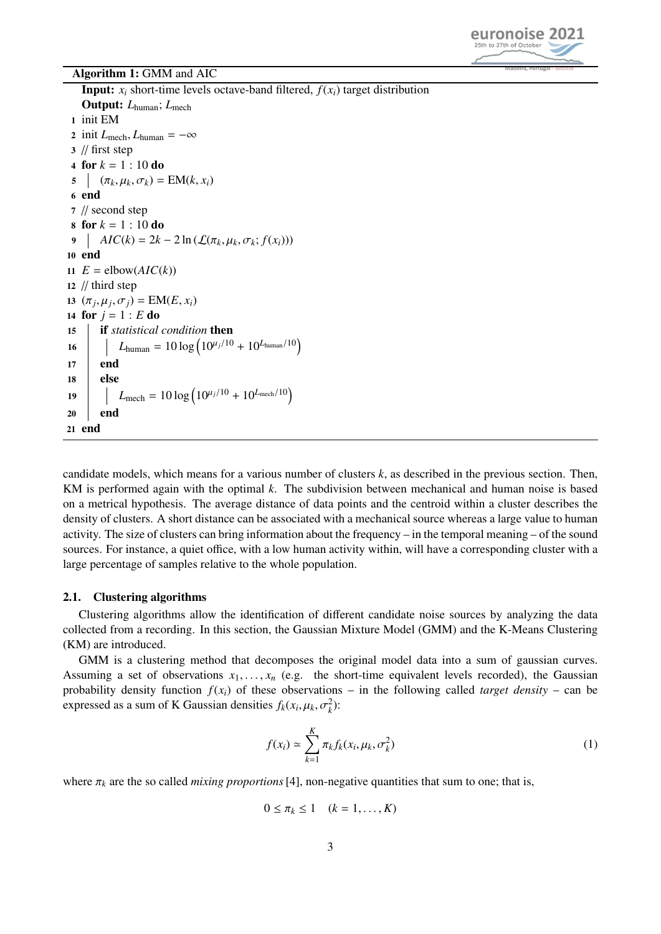

### Algorithm 1: GMM and AIC

**Input:**  $x_i$  short-time levels octave-band filtered,  $f(x_i)$  target distribution Output: *L*human; *L*mech 1 init EM 2 init  $L_{\text{mech}}$ ,  $L_{\text{human}} = -\infty$ 3 // first step 4 for  $k = 1 : 10$  do 5  $(\pi_k, \mu_k, \sigma_k) = EM(k, x_i)$ 6 end 7 // second step 8 for  $k = 1 : 10$  do 9 *AIC*(*k*) = 2*k* − 2 ln ( $\mathcal{L}(\pi_k, \mu_k, \sigma_k; f(x_i))$ ) 10 end 11  $E = \text{elbow}(AIC(k))$ 12 // third step 13  $(\pi_j, \mu_j, \sigma_j) = EM(E, x_i)$ <br>14 for  $j = 1 : F$  do 14 for  $j = 1 : E$  do 15 if *statistical condition* then 16  $\Big|$   $L_{\text{human}} = 10 \log \left( 10^{\mu_j/10} + 10^{L_{\text{human}}/10} \right)$  $17$  end 18 else 19  $L_{\text{mech}} = 10 \log \left( 10^{\mu_j/10} + 10^{L_{\text{mech}}/10} \right)$ 20 end 21 end

candidate models, which means for a various number of clusters *k*, as described in the previous section. Then, KM is performed again with the optimal *k*. The subdivision between mechanical and human noise is based on a metrical hypothesis. The average distance of data points and the centroid within a cluster describes the density of clusters. A short distance can be associated with a mechanical source whereas a large value to human activity. The size of clusters can bring information about the frequency – in the temporal meaning – of the sound sources. For instance, a quiet office, with a low human activity within, will have a corresponding cluster with a large percentage of samples relative to the whole population.

### 2.1. Clustering algorithms

Clustering algorithms allow the identification of different candidate noise sources by analyzing the data collected from a recording. In this section, the Gaussian Mixture Model (GMM) and the K-Means Clustering (KM) are introduced.

GMM is a clustering method that decomposes the original model data into a sum of gaussian curves. Assuming a set of observations  $x_1, \ldots, x_n$  (e.g. the short-time equivalent levels recorded), the Gaussian probability density function  $f(x_i)$  of these observations – in the following called *target density* – can be expressed as a sum of K Gaussian densities  $f_k(x_i, \mu_k, \sigma_k^2)$ :

<span id="page-2-0"></span>
$$
f(x_i) \simeq \sum_{k=1}^{K} \pi_k f_k(x_i, \mu_k, \sigma_k^2)
$$
 (1)

where  $\pi_k$  are the so called *mixing proportions* [\[4\]](#page-9-3), non-negative quantities that sum to one; that is,

$$
0 \leq \pi_k \leq 1 \quad (k = 1, \ldots, K)
$$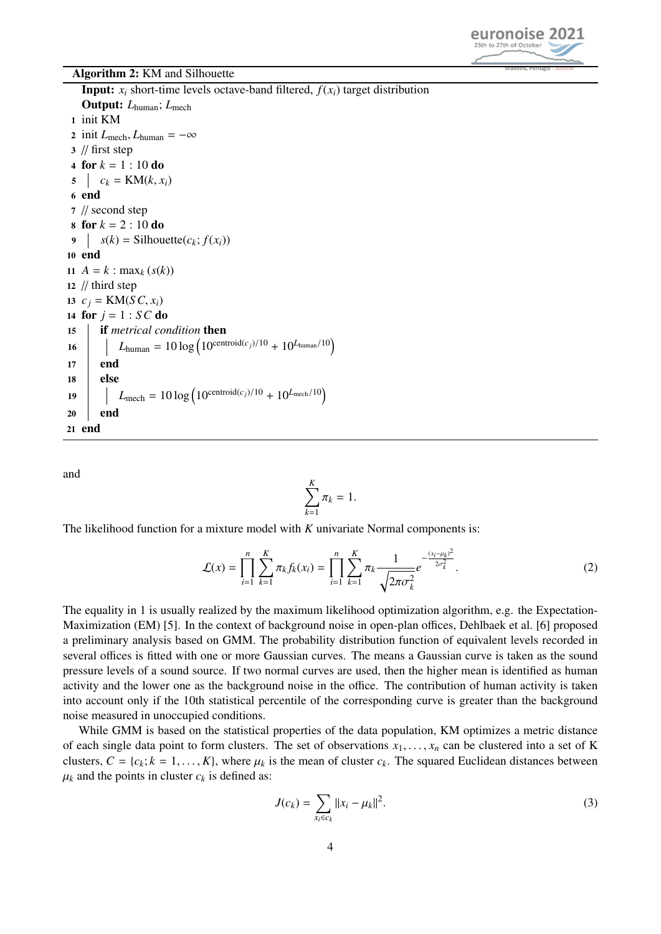

#### Algorithm 2: KM and Silhouette

**Input:**  $x_i$  short-time levels octave-band filtered,  $f(x_i)$  target distribution Output: *L*human; *L*mech 1 init KM 2 init  $L_{\text{mech}}$ ,  $L_{\text{human}} = -\infty$ 3 // first step 4 for  $k = 1 : 10$  do  $c_k = KM(k, x_i)$ 6 end 7 // second step 8 for  $k = 2 : 10$  do 9  $s(k) = \text{Silhouette}(c_k; f(x_i))$ 10 end 11  $A = k : max_k (s(k))$ 12  $\frac{1}{1}$  third step 13  $c_j = KM(SC, x_i)$ 14 for  $j = 1 : SC$  do 15 if *metrical condition* then 16  $L_{\text{human}} = 10 \log (10^{\text{centroid}(c_j)/10} + 10^{L_{\text{human}}/10})$  $17$  end 18 else 19  $L_{\text{mech}} = 10 \log (10^{\text{centroid}(c_j)/10} + 10^{L_{\text{mech}}/10})$ 20 end 21 end

and

<span id="page-3-0"></span>
$$
\sum_{k=1}^K \pi_k = 1.
$$

The likelihood function for a mixture model with *K* univariate Normal components is:

$$
\mathcal{L}(x) = \prod_{i=1}^{n} \sum_{k=1}^{K} \pi_k f_k(x_i) = \prod_{i=1}^{n} \sum_{k=1}^{K} \pi_k \frac{1}{\sqrt{2\pi\sigma_k^2}} e^{-\frac{(x_i - \mu_k)^2}{2\sigma_k^2}}.
$$
 (2)

The equality in [1](#page-2-0) is usually realized by the maximum likelihood optimization algorithm, e.g. the Expectation-Maximization (EM) [\[5\]](#page-9-4). In the context of background noise in open-plan offices, Dehlbaek et al. [\[6\]](#page-9-5) proposed a preliminary analysis based on GMM. The probability distribution function of equivalent levels recorded in several offices is fitted with one or more Gaussian curves. The means a Gaussian curve is taken as the sound pressure levels of a sound source. If two normal curves are used, then the higher mean is identified as human activity and the lower one as the background noise in the office. The contribution of human activity is taken into account only if the 10th statistical percentile of the corresponding curve is greater than the background noise measured in unoccupied conditions.

While GMM is based on the statistical properties of the data population, KM optimizes a metric distance of each single data point to form clusters. The set of observations  $x_1, \ldots, x_n$  can be clustered into a set of K clusters,  $C = \{c_k; k = 1, \ldots, K\}$ , where  $\mu_k$  is the mean of cluster  $c_k$ . The squared Euclidean distances between  $\mu_k$  and the points in cluster  $c_k$  is defined as:

<span id="page-3-1"></span>
$$
J(c_k) = \sum_{x_i \in c_k} ||x_i - \mu_k||^2.
$$
 (3)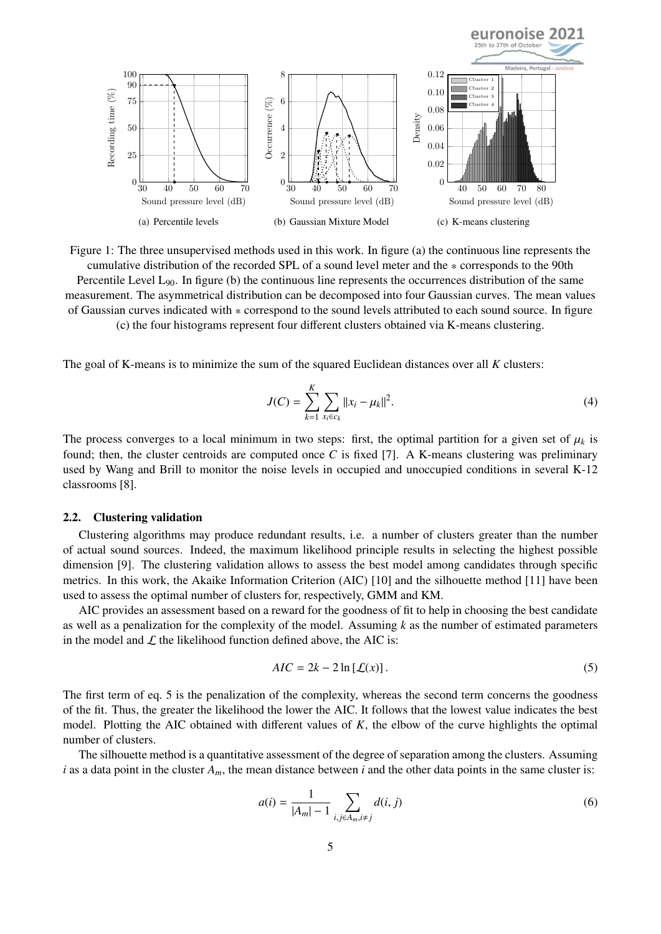

Figure 1: The three unsupervised methods used in this work. In figure (a) the continuous line represents the cumulative distribution of the recorded SPL of a sound level meter and the \* corresponds to the 90th Percentile Level  $L_{90}$ . In figure (b) the continuous line represents the occurrences distribution of the same measurement. The asymmetrical distribution can be decomposed into four Gaussian curves. The mean values of Gaussian curves indicated with  $*$  correspond to the sound levels attributed to each sound source. In figure (c) the four histograms represent four different clusters obtained via K-means clustering.

The goal of K-means is to minimize the sum of the squared Euclidean distances over all *K* clusters:

<span id="page-4-1"></span>
$$
J(C) = \sum_{k=1}^{K} \sum_{x_i \in c_k} ||x_i - \mu_k||^2.
$$
 (4)

The process converges to a local minimum in two steps: first, the optimal partition for a given set of  $\mu_k$  is found; then, the cluster centroids are computed once *C* is fixed [\[7\]](#page-9-6). A K-means clustering was preliminary used by Wang and Brill to monitor the noise levels in occupied and unoccupied conditions in several K-12 classrooms [\[8\]](#page-9-7).

#### 2.2. Clustering validation

Clustering algorithms may produce redundant results, i.e. a number of clusters greater than the number of actual sound sources. Indeed, the maximum likelihood principle results in selecting the highest possible dimension [\[9\]](#page-9-8). The clustering validation allows to assess the best model among candidates through specific metrics. In this work, the Akaike Information Criterion (AIC) [\[10\]](#page-9-9) and the silhouette method [\[11\]](#page-10-0) have been used to assess the optimal number of clusters for, respectively, GMM and KM.

AIC provides an assessment based on a reward for the goodness of fit to help in choosing the best candidate as well as a penalization for the complexity of the model. Assuming *k* as the number of estimated parameters in the model and  $\mathcal L$  the likelihood function defined above, the AIC is:

<span id="page-4-0"></span>
$$
AIC = 2k - 2\ln\left[\mathcal{L}(x)\right].\tag{5}
$$

The first term of eq. [5](#page-4-0) is the penalization of the complexity, whereas the second term concerns the goodness of the fit. Thus, the greater the likelihood the lower the AIC. It follows that the lowest value indicates the best model. Plotting the AIC obtained with different values of *K*, the elbow of the curve highlights the optimal number of clusters.

The silhouette method is a quantitative assessment of the degree of separation among the clusters. Assuming *i* as a data point in the cluster  $A_m$ , the mean distance between *i* and the other data points in the same cluster is:

$$
a(i) = \frac{1}{|A_m| - 1} \sum_{i,j \in A_m, i \neq j} d(i, j)
$$
 (6)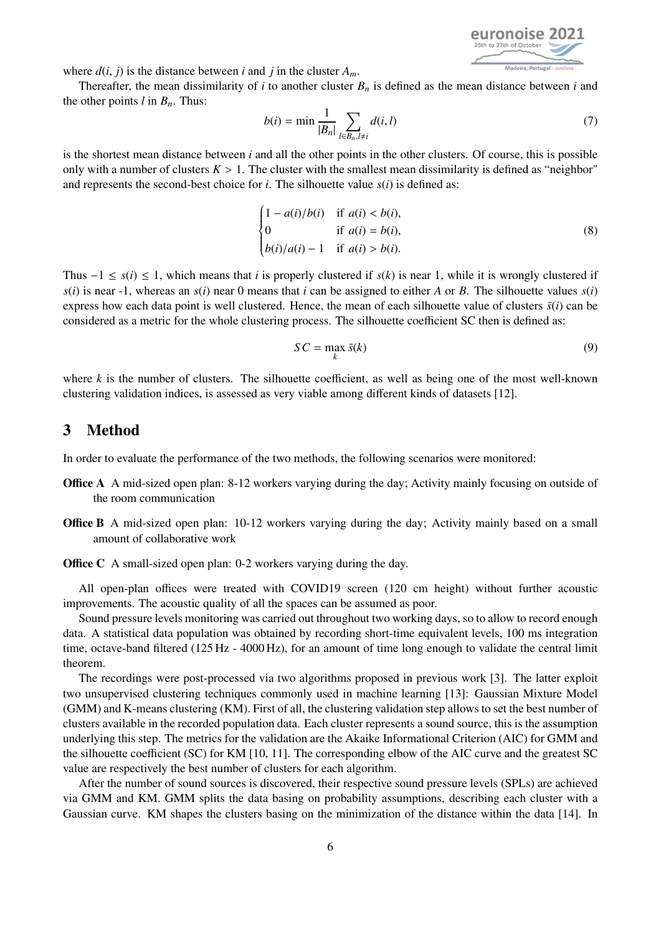

where  $d(i, j)$  is the distance between *i* and *j* in the cluster  $A_m$ .

Thereafter, the mean dissimilarity of *i* to another cluster  $B_n$  is defined as the mean distance between *i* and the other points  $l$  in  $B_n$ . Thus:

$$
b(i) = \min \frac{1}{|B_n|} \sum_{l \in B_n, l \neq i} d(i, l)
$$
 (7)

is the shortest mean distance between *i* and all the other points in the other clusters. Of course, this is possible only with a number of clusters  $K > 1$ . The cluster with the smallest mean dissimilarity is defined as "neighbor" and represents the second-best choice for  $i$ . The silhouette value  $s(i)$  is defined as:

$$
\begin{cases}\n1 - a(i)/b(i) & \text{if } a(i) < b(i), \\
0 & \text{if } a(i) = b(i), \\
b(i)/a(i) - 1 & \text{if } a(i) > b(i).\n\end{cases}
$$
\n(8)

Thus  $-1 \leq s(i) \leq 1$ , which means that *i* is properly clustered if  $s(k)$  is near 1, while it is wrongly clustered if  $s(i)$  is near -1, whereas an  $s(i)$  near 0 means that *i* can be assigned to either *A* or *B*. The silhouette values  $s(i)$ express how each data point is well clustered. Hence, the mean of each silhouette value of clusters  $\bar{s}(i)$  can be considered as a metric for the whole clustering process. The silhouette coefficient SC then is defined as:

<span id="page-5-0"></span>
$$
SC = \max_{k} \bar{s}(k) \tag{9}
$$

where  $k$  is the number of clusters. The silhouette coefficient, as well as being one of the most well-known clustering validation indices, is assessed as very viable among different kinds of datasets [\[12\]](#page-10-1).

### 3 Method

In order to evaluate the performance of the two methods, the following scenarios were monitored:

- **Office A** A mid-sized open plan: 8-12 workers varying during the day; Activity mainly focusing on outside of the room communication
- Office B A mid-sized open plan: 10-12 workers varying during the day; Activity mainly based on a small amount of collaborative work
- Office C A small-sized open plan: 0-2 workers varying during the day.

All open-plan offices were treated with COVID19 screen (120 cm height) without further acoustic improvements. The acoustic quality of all the spaces can be assumed as poor.

Sound pressure levels monitoring was carried out throughout two working days, so to allow to record enough data. A statistical data population was obtained by recording short-time equivalent levels, 100 ms integration time, octave-band filtered (125 Hz - 4000 Hz), for an amount of time long enough to validate the central limit theorem.

The recordings were post-processed via two algorithms proposed in previous work [\[3\]](#page-9-2). The latter exploit two unsupervised clustering techniques commonly used in machine learning [\[13\]](#page-10-2): Gaussian Mixture Model (GMM) and K-means clustering (KM). First of all, the clustering validation step allows to set the best number of clusters available in the recorded population data. Each cluster represents a sound source, this is the assumption underlying this step. The metrics for the validation are the Akaike Informational Criterion (AIC) for GMM and the silhouette coefficient (SC) for KM [\[10,](#page-9-9) [11\]](#page-10-0). The corresponding elbow of the AIC curve and the greatest SC value are respectively the best number of clusters for each algorithm.

After the number of sound sources is discovered, their respective sound pressure levels (SPLs) are achieved via GMM and KM. GMM splits the data basing on probability assumptions, describing each cluster with a Gaussian curve. KM shapes the clusters basing on the minimization of the distance within the data [\[14\]](#page-10-3). In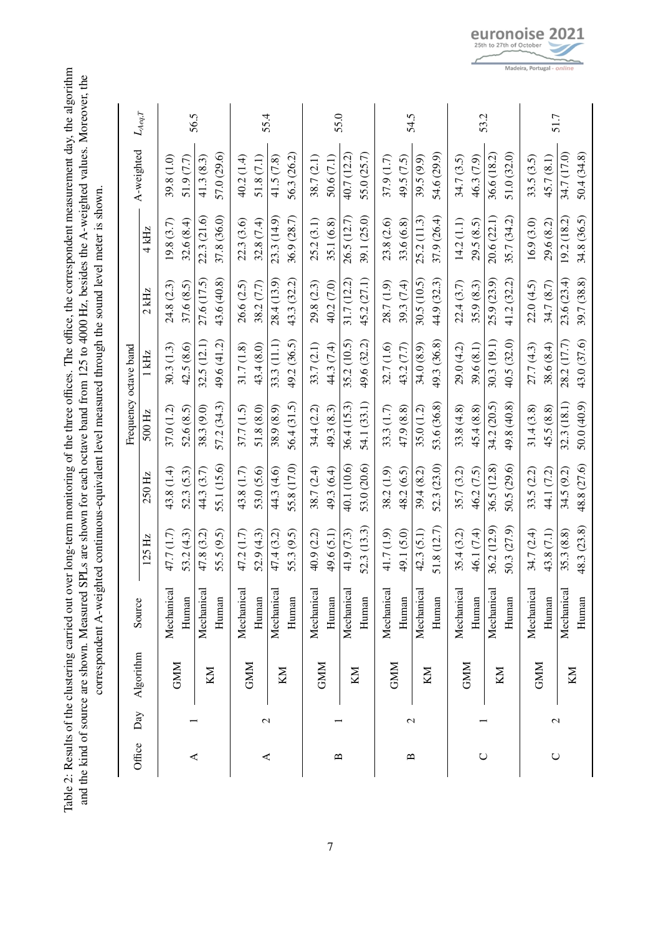<span id="page-6-0"></span>Table 2: Results of the clustering carried out over long-term monitoring of the three offices. The office, the correspondent measurement day, the algorithm<br>and the kind of source are shown. Measured SPLs are shown for each ffice, the correspondent measurement day, the algorithm and the kind of source are shown. Measured SPLs are shown for each octave band from 125 to 4000 Hz, besides the A-weighted values. Moreover, the correspondent A-weighted continuous-equivalent level measured through the sound level meter is shown. correspondent A-weighted continuous-equivalent level measured through the sound level meter is shown. Table 2: Results of the clustering carried out over long-term monitoring of the three o

| Office                                    | Day           | Algorithm  | Source     |             |             | Frequency octave band |             |             |             |             |             |
|-------------------------------------------|---------------|------------|------------|-------------|-------------|-----------------------|-------------|-------------|-------------|-------------|-------------|
|                                           |               |            |            | 125 Hz      | 250 Hz      | 500 Hz                | 1 kHz       | $2$ kHz     | 4 kHz       | A-weighted  | $L_{Aeq,T}$ |
|                                           |               | <b>GMM</b> | Mechanical | 47.7 (1.7)  | 43.8 (1.4)  | 37.0(1.2)             | 30.3(1.3)   | 24.8 (2.3)  | 19.8(3.7)   | 39.8 (1.0)  |             |
| ≺                                         |               |            | Human      | 53.2 (4.3)  | 52.3 (5.3)  | 52.6(8.5)             | 42.5 (8.6)  | 37.6 (8.5)  | 32.6(8.4)   | 51.9 (7.7)  | 56.5        |
|                                           |               | KM         | Mechanical | 47.8(3.2)   | 44.3 (3.7)  | 38.3 (9.0)            | 32.5(12.1)  | 27.6 (17.5) | 22.3 (21.6) | 41.3(8.3)   |             |
|                                           |               |            | Human      | 55.5 (9.5)  | 55.1 (15.6) | 57.2 (34.3)           | 49.6 (41.2) | 43.6 (40.8) | 37.8 (36.0) | 57.0 (29.6) |             |
|                                           |               | <b>GMM</b> | Mechanical | 47.2 (1.7)  | 43.8 (1.7)  | 37.7(1.5)             | 31.7(1.8)   | 26.6(2.5)   | 22.3 (3.6)  | 40.2 (1.4)  |             |
| ≺                                         | $\mathcal{C}$ |            | Human      | 52.9(4.3)   | 53.0 (5.6)  | 51.8 (8.0)            | 43.4 (8.0)  | 38.2 (7.7)  | 32.8 (7.4)  | 51.8(7.1)   | 55.4        |
|                                           |               | KM         | Mechanica  | 47.4(3.2)   | 44.3 (4.6)  | 38.9 (8.9)            | 33.3(11.1)  | 28.4(13.9)  | 23.3(14.9)  | 41.5(7.8)   |             |
|                                           |               |            | Human      | 55.3 (9.5)  | 55.8 (17.0) | 56.4(31.5)            | 49.2 (36.5) | 43.3 (32.2) | 36.9 (28.7) | 56.3 (26.2) |             |
|                                           |               | <b>GMM</b> | Mechanica  | 40.9 (2.2)  | 38.7 (2.4)  | 34.4(2.2)             | 33.7 (2.1)  | 29.8(2.3)   | 25.2(3.1)   | 38.7 (2.1)  |             |
| $\mathbf{\underline{\underline{\alpha}}}$ |               |            | Human      | 49.6 (5.1)  | 49.3 (6.4)  | 49.3 (8.3)            | 44.3 (7.4)  | 40.2 (7.0)  | 35.1 (6.8)  | 50.6(7.1)   | 55.0        |
|                                           |               | KM         | Mechanical | 41.9(7.3)   | 40.1 (10.6) | 36.4 (15.3)           | 35.2(10.5)  | 31.7(12.2)  | 26.5 (12.7) | 40.7 (12.2) |             |
|                                           |               |            | Human      | 52.3 (13.3) | 53.0 (20.6) | 54.1 (33.1)           | 49.6 (32.2) | 45.2 (27.1) | 39.1 (25.0) | 55.0(25.7)  |             |
|                                           |               | <b>GMM</b> | Mechanical | 41.7 (1.9)  | 38.2(1.9)   | 33.3(1.7)             | 32.7 (1.6)  | 28.7 (1.9)  | 23.8 (2.6)  | 37.9 (1.7)  |             |
| $\mathbf{\Omega}$                         | $\mathbf 2$   |            | Human      | 49.1 (5.0)  | 48.2 (6.5)  | 47.9 (8.8)            | 43.2 (7.7)  | 39.3 (7.4)  | 33.6 (6.8)  | 49.5 (7.5)  | 54.5        |
|                                           |               | KM         | Mechanical | 42.3(5.1)   | 39.4(8.2)   | 35.0(1.2)             | 34.0 (8.9)  | 30.5(10.5)  | 25.2(11.3)  | 39.5 (9.9)  |             |
|                                           |               |            | Human      | 51.8(12.7)  | 52.3 (23.0) | 53.6 (36.8)           | 49.3 (36.8) | 44.9 (32.3) | 37.9 (26.4) | 54.6 (29.9) |             |
|                                           |               | <b>GMM</b> | Mechanical | 35.4(3.2)   | 35.7 (3.2)  | 33.8(4.8)             | 29.0 (4.2)  | 22.4 (3.7)  | 14.2(1.1)   | 34.7 (3.5)  |             |
| $\cup$                                    |               |            | Human      | 46.1 (7.4)  | 46.2 (7.5)  | 45.4(8.8)             | 39.6 (8.1)  | 35.9 (8.3)  | 29.5(8.5)   | 46.3 (7.9)  | 53.2        |
|                                           |               | KM         | Mechanical | 36.2 (12.9) | 36.5(12.8)  | 34.2(20.5)            | 30.3 (19.1) | 25.9 (23.9) | 20.6 (22.1) | 36.6 (18.2) |             |
|                                           |               |            | Human      | 50.3 (27.9) | 50.5 (29.6) | 49.8 (40.8)           | 40.5 (32.0) | 41.2 (32.2) | 35.7 (34.2) | 51.0 (32.0) |             |
|                                           |               | <b>GMM</b> | Mechanical | 34.7 (2.4)  | 33.5 (2.2)  | 31.4(3.8)             | 27.7 (4.3)  | 22.0 (4.5)  | 16.9(3.0)   | 33.5(3.5)   |             |
| $\cup$                                    | $\mathcal{C}$ |            | Human      | 43.8 (7.1)  | 44.1 (7.2)  | 45.5 (8.8)            | 38.6 (8.4)  | 34.7 (8.7)  | 29.6 (8.2)  | 45.7 (8.1)  | 51.7        |
|                                           |               | KM         | Mechanical | 35.3 (8.8)  | 34.5 (9.2)  | 32.3 (18.1)           | 28.2 (17.7) | 23.6(23.4)  | 19.2(18.2)  | 34.7 (17.0) |             |
|                                           |               |            | Human      | 48.3 (23.8) | 48.8 (27.6) | 50.0 (40.9)           | 43.0 (37.6) | 39.7 (38.8) | 34.8 (36.5) | 50.4 (34.8) |             |

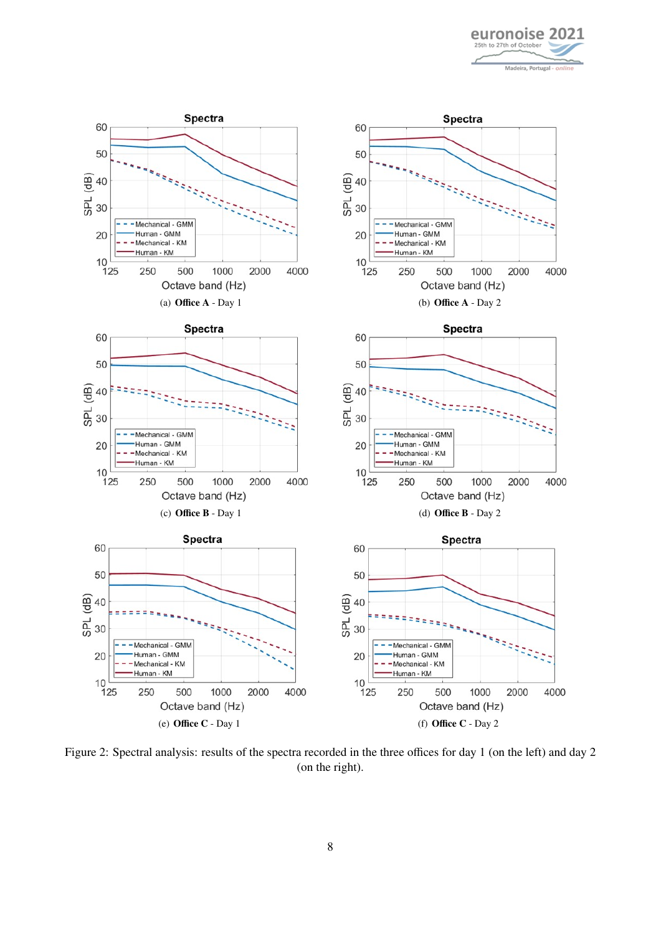

<span id="page-7-0"></span>

Figure 2: Spectral analysis: results of the spectra recorded in the three offices for day 1 (on the left) and day 2 (on the right).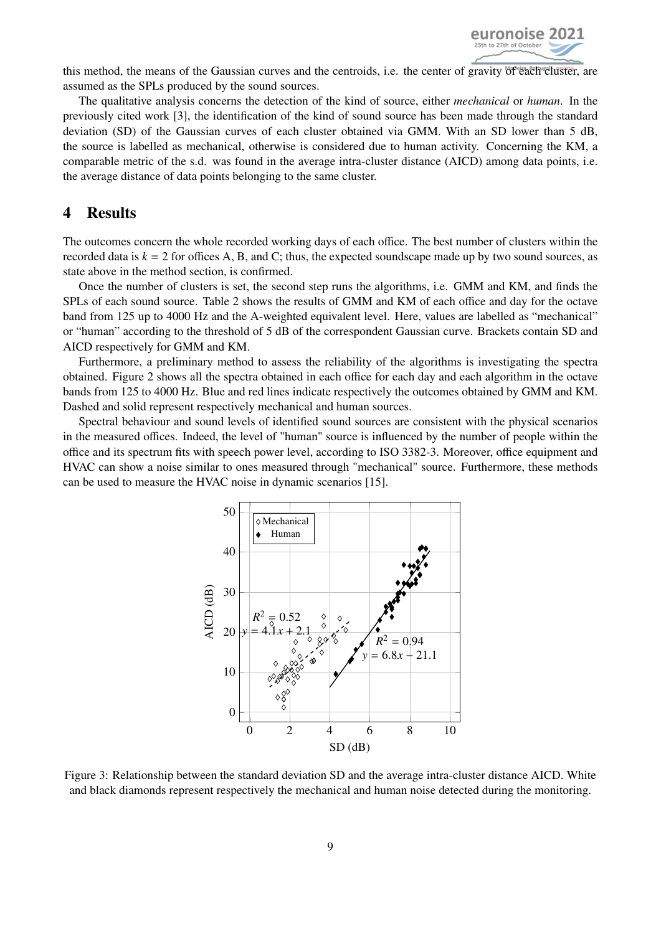

this method, the means of the Gaussian curves and the centroids, i.e. the center of gravity of each cluster, are assumed as the SPLs produced by the sound sources.

The qualitative analysis concerns the detection of the kind of source, either *mechanical* or *human*. In the previously cited work [\[3\]](#page-9-2), the identification of the kind of sound source has been made through the standard deviation (SD) of the Gaussian curves of each cluster obtained via GMM. With an SD lower than 5 dB, the source is labelled as mechanical, otherwise is considered due to human activity. Concerning the KM, a comparable metric of the s.d. was found in the average intra-cluster distance (AICD) among data points, i.e. the average distance of data points belonging to the same cluster.

## 4 Results

The outcomes concern the whole recorded working days of each office. The best number of clusters within the recorded data is  $k = 2$  for offices A, B, and C; thus, the expected soundscape made up by two sound sources, as state above in the method section, is confirmed.

Once the number of clusters is set, the second step runs the algorithms, i.e. GMM and KM, and finds the SPLs of each sound source. Table [2](#page-6-0) shows the results of GMM and KM of each office and day for the octave band from 125 up to 4000 Hz and the A-weighted equivalent level. Here, values are labelled as "mechanical" or "human" according to the threshold of 5 dB of the correspondent Gaussian curve. Brackets contain SD and AICD respectively for GMM and KM.

Furthermore, a preliminary method to assess the reliability of the algorithms is investigating the spectra obtained. Figure [2](#page-7-0) shows all the spectra obtained in each office for each day and each algorithm in the octave bands from 125 to 4000 Hz. Blue and red lines indicate respectively the outcomes obtained by GMM and KM. Dashed and solid represent respectively mechanical and human sources.

<span id="page-8-0"></span>Spectral behaviour and sound levels of identified sound sources are consistent with the physical scenarios in the measured offices. Indeed, the level of "human" source is influenced by the number of people within the office and its spectrum fits with speech power level, according to ISO 3382-3. Moreover, office equipment and HVAC can show a noise similar to ones measured through "mechanical" source. Furthermore, these methods can be used to measure the HVAC noise in dynamic scenarios [\[15\]](#page-10-4).



Figure 3: Relationship between the standard deviation SD and the average intra-cluster distance AICD. White and black diamonds represent respectively the mechanical and human noise detected during the monitoring.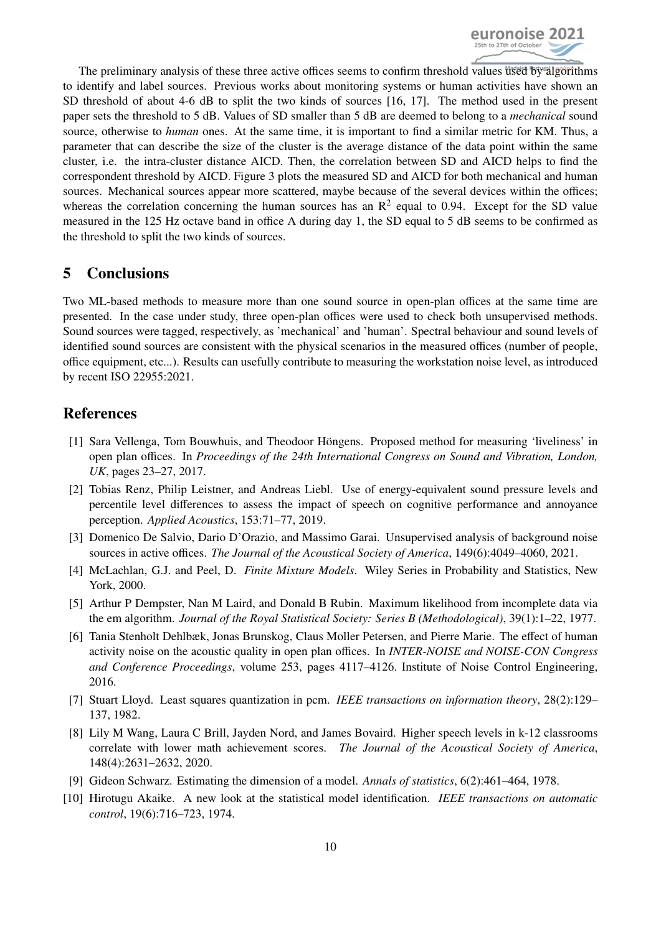

The preliminary analysis of these three active offices seems to confirm threshold values used by algorithms to identify and label sources. Previous works about monitoring systems or human activities have shown an SD threshold of about 4-6 dB to split the two kinds of sources [\[16,](#page-10-5) [17\]](#page-10-6). The method used in the present paper sets the threshold to 5 dB. Values of SD smaller than 5 dB are deemed to belong to a *mechanical* sound source, otherwise to *human* ones. At the same time, it is important to find a similar metric for KM. Thus, a parameter that can describe the size of the cluster is the average distance of the data point within the same cluster, i.e. the intra-cluster distance AICD. Then, the correlation between SD and AICD helps to find the correspondent threshold by AICD. Figure [3](#page-8-0) plots the measured SD and AICD for both mechanical and human sources. Mechanical sources appear more scattered, maybe because of the several devices within the offices; whereas the correlation concerning the human sources has an  $\mathbb{R}^2$  equal to 0.94. Except for the SD value measured in the 125 Hz octave band in office A during day 1, the SD equal to 5 dB seems to be confirmed as the threshold to split the two kinds of sources.

# 5 Conclusions

Two ML-based methods to measure more than one sound source in open-plan offices at the same time are presented. In the case under study, three open-plan offices were used to check both unsupervised methods. Sound sources were tagged, respectively, as 'mechanical' and 'human'. Spectral behaviour and sound levels of identified sound sources are consistent with the physical scenarios in the measured offices (number of people, office equipment, etc...). Results can usefully contribute to measuring the workstation noise level, as introduced by recent ISO 22955:2021.

# References

- <span id="page-9-0"></span>[1] Sara Vellenga, Tom Bouwhuis, and Theodoor Höngens. Proposed method for measuring 'liveliness' in open plan offices. In *Proceedings of the 24th International Congress on Sound and Vibration, London, UK*, pages 23–27, 2017.
- <span id="page-9-1"></span>[2] Tobias Renz, Philip Leistner, and Andreas Liebl. Use of energy-equivalent sound pressure levels and percentile level differences to assess the impact of speech on cognitive performance and annoyance perception. *Applied Acoustics*, 153:71–77, 2019.
- <span id="page-9-2"></span>[3] Domenico De Salvio, Dario D'Orazio, and Massimo Garai. Unsupervised analysis of background noise sources in active offices. *The Journal of the Acoustical Society of America*, 149(6):4049–4060, 2021.
- <span id="page-9-3"></span>[4] McLachlan, G.J. and Peel, D. *Finite Mixture Models*. Wiley Series in Probability and Statistics, New York, 2000.
- <span id="page-9-4"></span>[5] Arthur P Dempster, Nan M Laird, and Donald B Rubin. Maximum likelihood from incomplete data via the em algorithm. *Journal of the Royal Statistical Society: Series B (Methodological)*, 39(1):1–22, 1977.
- <span id="page-9-5"></span>[6] Tania Stenholt Dehlbæk, Jonas Brunskog, Claus Moller Petersen, and Pierre Marie. The effect of human activity noise on the acoustic quality in open plan offices. In *INTER-NOISE and NOISE-CON Congress and Conference Proceedings*, volume 253, pages 4117–4126. Institute of Noise Control Engineering, 2016.
- <span id="page-9-6"></span>[7] Stuart Lloyd. Least squares quantization in pcm. *IEEE transactions on information theory*, 28(2):129– 137, 1982.
- <span id="page-9-7"></span>[8] Lily M Wang, Laura C Brill, Jayden Nord, and James Bovaird. Higher speech levels in k-12 classrooms correlate with lower math achievement scores. *The Journal of the Acoustical Society of America*, 148(4):2631–2632, 2020.
- <span id="page-9-8"></span>[9] Gideon Schwarz. Estimating the dimension of a model. *Annals of statistics*, 6(2):461–464, 1978.
- <span id="page-9-9"></span>[10] Hirotugu Akaike. A new look at the statistical model identification. *IEEE transactions on automatic control*, 19(6):716–723, 1974.